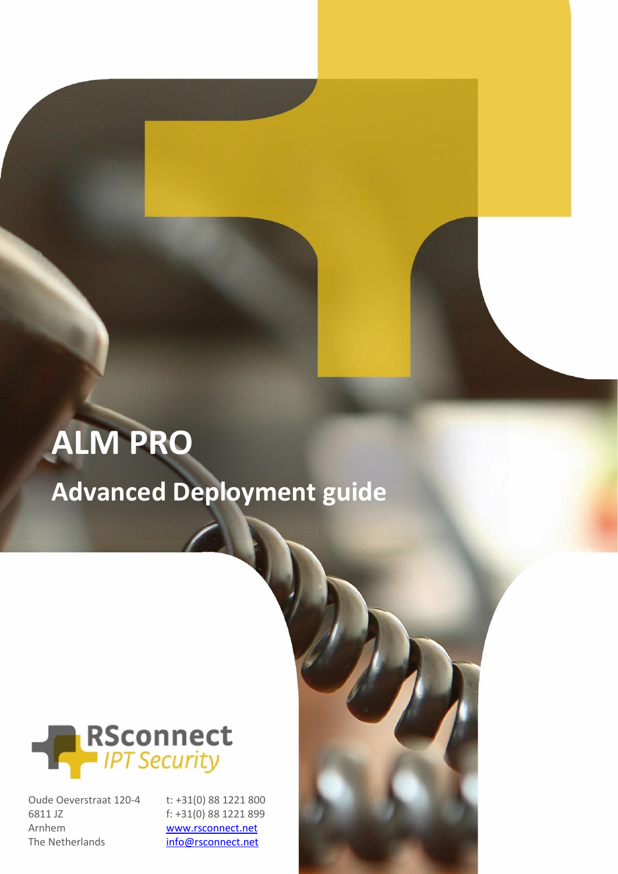# **ALM PRO**

**Advanced Deployment guide**



Oude Oeverstraat 120-4 6811 JZ Arnhem The Netherlands

t: +31(0) 88 1221 800 f: +31(0) 88 1221 899 [www.rsconnect.net](http://www.rsconnect.net/)

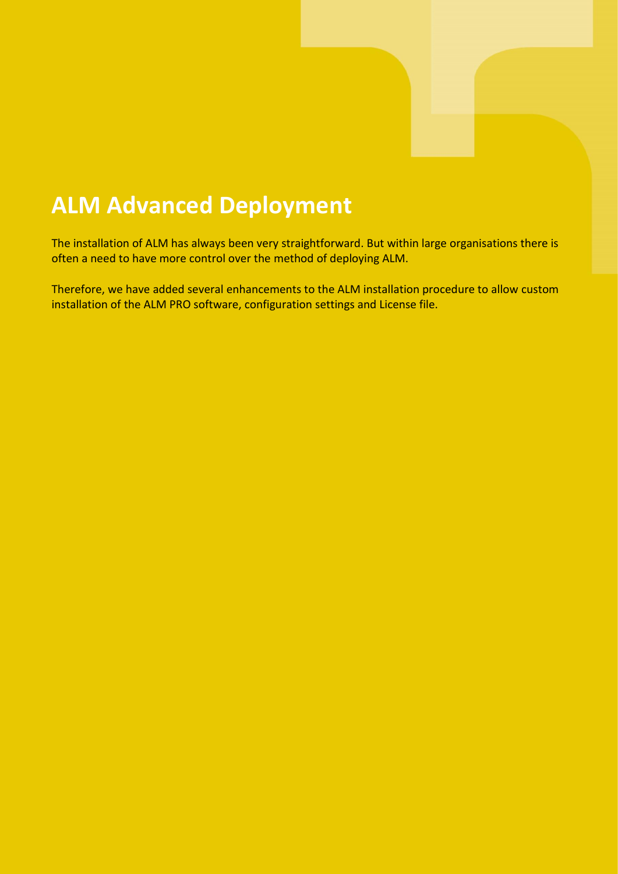### **ALM Advanced Deployment**

The installation of ALM has always been very straightforward. But within large organisations there is often a need to have more control over the method of deploying ALM.

Therefore, we have added several enhancements to the ALM installation procedure to allow custom installation of the ALM PRO software, configuration settings and License file.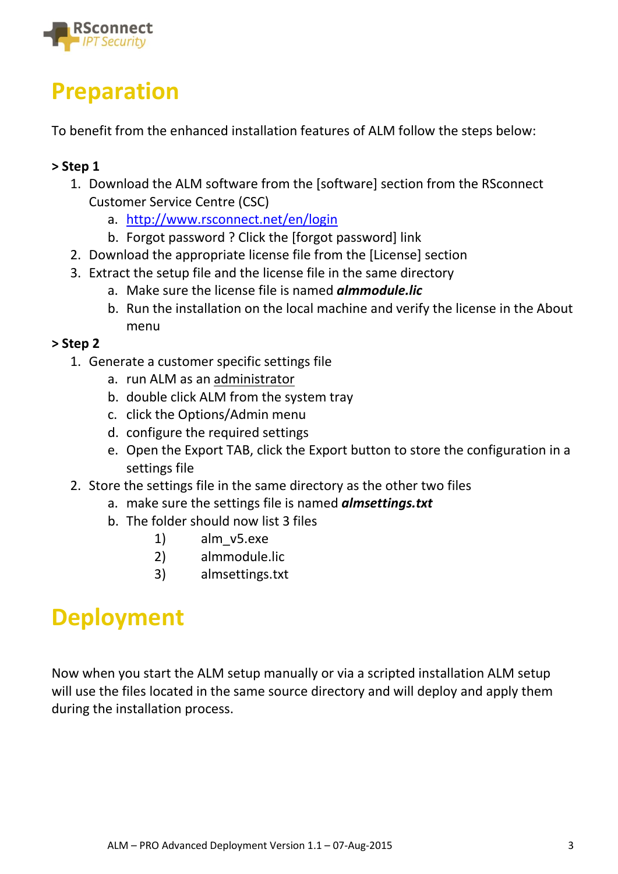

### **Preparation**

To benefit from the enhanced installation features of ALM follow the steps below:

#### **> Step 1**

- 1. Download the ALM software from the [software] section from the RSconnect Customer Service Centre (CSC)
	- a. <http://www.rsconnect.net/en/login>
	- b. Forgot password ? Click the [forgot password] link
- 2. Download the appropriate license file from the [License] section
- 3. Extract the setup file and the license file in the same directory
	- a. Make sure the license file is named *almmodule.lic*
	- b. Run the installation on the local machine and verify the license in the About menu

#### **> Step 2**

- 1. Generate a customer specific settings file
	- a. run ALM as an administrator
	- b. double click ALM from the system tray
	- c. click the Options/Admin menu
	- d. configure the required settings
	- e. Open the Export TAB, click the Export button to store the configuration in a settings file
- 2. Store the settings file in the same directory as the other two files
	- a. make sure the settings file is named *almsettings.txt*
	- b. The folder should now list 3 files
		- 1) alm\_v5.exe
		- 2) almmodule.lic
		- 3) almsettings.txt

### **Deployment**

Now when you start the ALM setup manually or via a scripted installation ALM setup will use the files located in the same source directory and will deploy and apply them during the installation process.